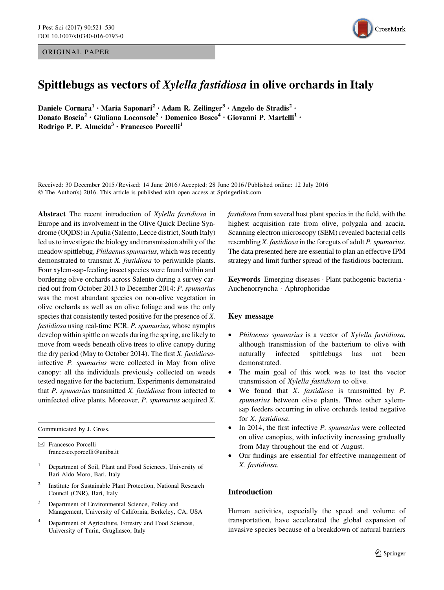ORIGINAL PAPER



# Spittlebugs as vectors of Xylella fastidiosa in olive orchards in Italy

Daniele Cornara<sup>1</sup> • Maria Saponari<sup>2</sup> • Adam R. Zeilinger<sup>3</sup> • Angelo de Stradis<sup>2</sup> • Donato Boscia<sup>2</sup> • Giuliana Loconsole<sup>2</sup> • Domenico Bosco<sup>4</sup> • Giovanni P. Martelli<sup>1</sup> • Rodrigo P. P. Almeida<sup>3</sup> · Francesco Porcelli<sup>1</sup>

Received: 30 December 2015 / Revised: 14 June 2016 / Accepted: 28 June 2016 / Published online: 12 July 2016 © The Author(s) 2016. This article is published with open access at Springerlink.com

Abstract The recent introduction of Xylella fastidiosa in Europe and its involvement in the Olive Quick Decline Syndrome (OQDS) in Apulia (Salento, Lecce district, South Italy) led us to investigate the biology and transmission ability of the meadow spittlebug, Philaenus spumarius, which was recently demonstrated to transmit X. fastidiosa to periwinkle plants. Four xylem-sap-feeding insect species were found within and bordering olive orchards across Salento during a survey carried out from October 2013 to December 2014: P. spumarius was the most abundant species on non-olive vegetation in olive orchards as well as on olive foliage and was the only species that consistently tested positive for the presence of X. fastidiosa using real-time PCR. P. spumarius, whose nymphs develop within spittle on weeds during the spring, are likely to move from weeds beneath olive trees to olive canopy during the dry period (May to October 2014). The first X. fastidiosainfective P. spumarius were collected in May from olive canopy: all the individuals previously collected on weeds tested negative for the bacterium. Experiments demonstrated that P. spumarius transmitted X. fastidiosa from infected to uninfected olive plants. Moreover, P. spumarius acquired X.

Communicated by J. Gross.

& Francesco Porcelli francesco.porcelli@uniba.it

- <sup>1</sup> Department of Soil, Plant and Food Sciences, University of Bari Aldo Moro, Bari, Italy
- <sup>2</sup> Institute for Sustainable Plant Protection, National Research Council (CNR), Bari, Italy
- Department of Environmental Science, Policy and Management, University of California, Berkeley, CA, USA
- Department of Agriculture, Forestry and Food Sciences, University of Turin, Grugliasco, Italy

fastidiosa from several host plant species in the field, with the highest acquisition rate from olive, polygala and acacia. Scanning electron microscopy (SEM) revealed bacterial cells resembling X. fastidiosa in the foreguts of adult P. spumarius. The data presented here are essential to plan an effective IPM strategy and limit further spread of the fastidious bacterium.

Keywords Emerging diseases - Plant pathogenic bacteria - Auchenorryncha - Aphrophoridae

## Key message

- Philaenus spumarius is a vector of Xylella fastidiosa, although transmission of the bacterium to olive with naturally infected spittlebugs has not been demonstrated.
- The main goal of this work was to test the vector transmission of Xylella fastidiosa to olive.
- We found that  $X$ . *fastidiosa* is transmitted by  $P$ . spumarius between olive plants. Three other xylemsap feeders occurring in olive orchards tested negative for X. fastidiosa.
- In 2014, the first infective *P. spumarius* were collected on olive canopies, with infectivity increasing gradually from May throughout the end of August.
- Our findings are essential for effective management of X. fastidiosa.

## Introduction

Human activities, especially the speed and volume of transportation, have accelerated the global expansion of invasive species because of a breakdown of natural barriers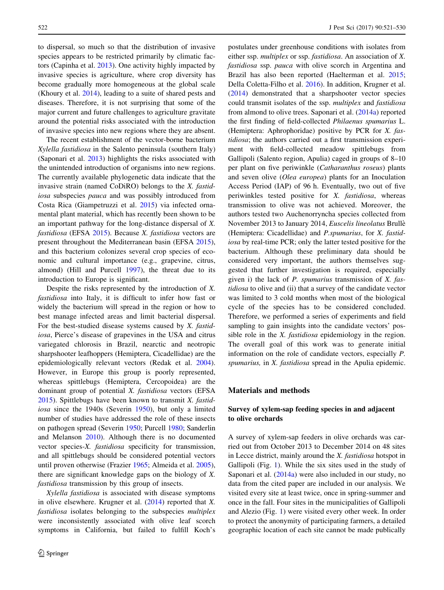to dispersal, so much so that the distribution of invasive species appears to be restricted primarily by climatic factors (Capinha et al. [2013\)](#page-8-0). One activity highly impacted by invasive species is agriculture, where crop diversity has become gradually more homogeneous at the global scale (Khoury et al. [2014\)](#page-9-0), leading to a suite of shared pests and diseases. Therefore, it is not surprising that some of the major current and future challenges to agriculture gravitate around the potential risks associated with the introduction of invasive species into new regions where they are absent.

The recent establishment of the vector-borne bacterium Xylella fastidiosa in the Salento peninsula (southern Italy) (Saponari et al. [2013\)](#page-9-0) highlights the risks associated with the unintended introduction of organisms into new regions. The currently available phylogenetic data indicate that the invasive strain (named CoDiRO) belongs to the X. fastidiosa subspecies pauca and was possibly introduced from Costa Rica (Giampetruzzi et al. [2015\)](#page-9-0) via infected ornamental plant material, which has recently been shown to be an important pathway for the long-distance dispersal of X. fastidiosa (EFSA [2015](#page-8-0)). Because X. fastidiosa vectors are present throughout the Mediterranean basin (EFSA [2015](#page-8-0)), and this bacterium colonizes several crop species of economic and cultural importance (e.g., grapevine, citrus, almond) (Hill and Purcell [1997\)](#page-9-0), the threat due to its introduction to Europe is significant.

Despite the risks represented by the introduction of X. fastidiosa into Italy, it is difficult to infer how fast or widely the bacterium will spread in the region or how to best manage infected areas and limit bacterial dispersal. For the best-studied disease systems caused by X. fastidiosa, Pierce's disease of grapevines in the USA and citrus variegated chlorosis in Brazil, nearctic and neotropic sharpshooter leafhoppers (Hemiptera, Cicadellidae) are the epidemiologically relevant vectors (Redak et al. [2004](#page-9-0)). However, in Europe this group is poorly represented, whereas spittlebugs (Hemiptera, Cercopoidea) are the dominant group of potential X. fastidiosa vectors (EFSA [2015\)](#page-8-0). Spittlebugs have been known to transmit X. fastidiosa since the 1940s (Severin [1950](#page-9-0)), but only a limited number of studies have addressed the role of these insects on pathogen spread (Severin [1950;](#page-9-0) Purcell [1980](#page-9-0); Sanderlin and Melanson [2010\)](#page-9-0). Although there is no documented vector species-X. fastidiosa specificity for transmission, and all spittlebugs should be considered potential vectors until proven otherwise (Frazier [1965](#page-9-0); Almeida et al. [2005](#page-8-0)), there are significant knowledge gaps on the biology of X. fastidiosa transmission by this group of insects.

Xylella fastidiosa is associated with disease symptoms in olive elsewhere. Krugner et al. ([2014](#page-9-0)) reported that X. fastidiosa isolates belonging to the subspecies multiplex were inconsistently associated with olive leaf scorch symptoms in California, but failed to fulfill Koch's postulates under greenhouse conditions with isolates from either ssp. multiplex or ssp. fastidiosa. An association of X. fastidiosa ssp. pauca with olive scorch in Argentina and Brazil has also been reported (Haelterman et al. [2015](#page-9-0); Della Coletta-Filho et al. [2016\)](#page-8-0). In addition, Krugner et al. [\(2014](#page-9-0)) demonstrated that a sharpshooter vector species could transmit isolates of the ssp. multiplex and fastidiosa from almond to olive trees. Saponari et al. ([2014a](#page-9-0)) reported the first finding of field-collected Philaenus spumarius L. (Hemiptera: Aphrophoridae) positive by PCR for X. fastidiosa; the authors carried out a first transmission experiment with field-collected meadow spittlebugs from Gallipoli (Salento region, Apulia) caged in groups of 8–10 per plant on five periwinkle (Catharanthus roseus) plants and seven olive (Olea europea) plants for an Inoculation Access Period (IAP) of 96 h. Eventually, two out of five periwinkles tested positive for X. fastidiosa, whereas transmission to olive was not achieved. Moreover, the authors tested two Auchenorryncha species collected from November 2013 to January 2014, Euscelis lineolatus Brulle` (Hemiptera: Cicadellidae) and P.spumarius, for X. fastidiosa by real-time PCR; only the latter tested positive for the bacterium. Although these preliminary data should be considered very important, the authors themselves suggested that further investigation is required, especially given i) the lack of  $P$ . spumarius transmission of  $X$ . fastidiosa to olive and (ii) that a survey of the candidate vector was limited to 3 cold months when most of the biological cycle of the species has to be considered concluded. Therefore, we performed a series of experiments and field sampling to gain insights into the candidate vectors' possible role in the X. fastidiosa epidemiology in the region. The overall goal of this work was to generate initial information on the role of candidate vectors, especially P. spumarius, in X. fastidiosa spread in the Apulia epidemic.

## Materials and methods

## Survey of xylem-sap feeding species in and adjacent to olive orchards

A survey of xylem-sap feeders in olive orchards was carried out from October 2013 to December 2014 on 48 sites in Lecce district, mainly around the X. fastidiosa hotspot in Gallipoli (Fig. [1\)](#page-2-0). While the six sites used in the study of Saponari et al. ([2014a](#page-9-0)) were also included in our study, no data from the cited paper are included in our analysis. We visited every site at least twice, once in spring-summer and once in the fall. Four sites in the municipalities of Gallipoli and Alezio (Fig. [1](#page-2-0)) were visited every other week. In order to protect the anonymity of participating farmers, a detailed geographic location of each site cannot be made publically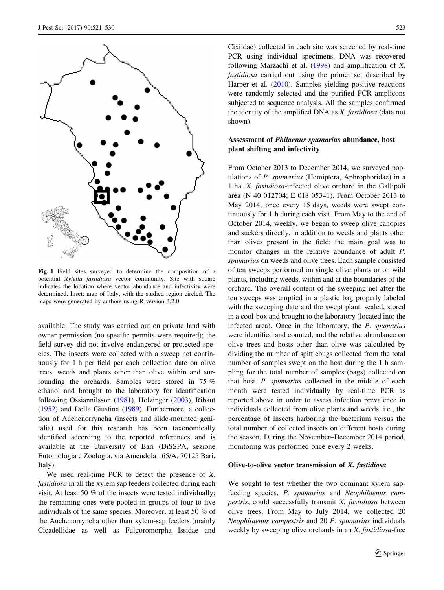<span id="page-2-0"></span>

Fig. 1 Field sites surveyed to determine the composition of a potential Xylella fastidiosa vector community. Site with square indicates the location where vector abundance and infectivity were determined. Inset: map of Italy, with the studied region circled. The maps were generated by authors using R version 3.2.0

available. The study was carried out on private land with owner permission (no specific permits were required); the field survey did not involve endangered or protected species. The insects were collected with a sweep net continuously for 1 h per field per each collection date on olive trees, weeds and plants other than olive within and surrounding the orchards. Samples were stored in 75 % ethanol and brought to the laboratory for identification following Ossiannilsson [\(1981](#page-9-0)), Holzinger ([2003\)](#page-9-0), Ribaut [\(1952](#page-9-0)) and Della Giustina [\(1989\)](#page-8-0). Furthermore, a collection of Auchenorryncha (insects and slide-mounted genitalia) used for this research has been taxonomically identified according to the reported references and is available at the University of Bari (DiSSPA, sezione Entomologia e Zoologia, via Amendola 165/A, 70125 Bari, Italy).

We used real-time PCR to detect the presence of X. fastidiosa in all the xylem sap feeders collected during each visit. At least 50 % of the insects were tested individually; the remaining ones were pooled in groups of four to five individuals of the same species. Moreover, at least 50 % of the Auchenorryncha other than xylem-sap feeders (mainly Cicadellidae as well as Fulgoromorpha Issidae and Cixiidae) collected in each site was screened by real-time PCR using individual specimens. DNA was recovered following Marzachi et al.  $(1998)$  $(1998)$  and amplification of X. fastidiosa carried out using the primer set described by Harper et al. ([2010\)](#page-9-0). Samples yielding positive reactions were randomly selected and the purified PCR amplicons subjected to sequence analysis. All the samples confirmed the identity of the amplified DNA as X. fastidiosa (data not shown).

# Assessment of Philaenus spumarius abundance, host plant shifting and infectivity

From October 2013 to December 2014, we surveyed populations of P. spumarius (Hemiptera, Aphrophoridae) in a 1 ha. X. fastidiosa-infected olive orchard in the Gallipoli area (N 40 012704; E 018 05341). From October 2013 to May 2014, once every 15 days, weeds were swept continuously for 1 h during each visit. From May to the end of October 2014, weekly, we began to sweep olive canopies and suckers directly, in addition to weeds and plants other than olives present in the field: the main goal was to monitor changes in the relative abundance of adult P. spumarius on weeds and olive trees. Each sample consisted of ten sweeps performed on single olive plants or on wild plants, including weeds, within and at the boundaries of the orchard. The overall content of the sweeping net after the ten sweeps was emptied in a plastic bag properly labeled with the sweeping date and the swept plant, sealed, stored in a cool-box and brought to the laboratory (located into the infected area). Once in the laboratory, the P. spumarius were identified and counted, and the relative abundance on olive trees and hosts other than olive was calculated by dividing the number of spittlebugs collected from the total number of samples swept on the host during the 1 h sampling for the total number of samples (bags) collected on that host. P. spumarius collected in the middle of each month were tested individually by real-time PCR as reported above in order to assess infection prevalence in individuals collected from olive plants and weeds, i.e., the percentage of insects harboring the bacterium versus the total number of collected insects on different hosts during the season. During the November–December 2014 period, monitoring was performed once every 2 weeks.

#### Olive-to-olive vector transmission of X. fastidiosa

We sought to test whether the two dominant xylem sapfeeding species, P. spumarius and Neophilaenus campestris, could successfully transmit X. fastidiosa between olive trees. From May to July 2014, we collected 20 Neophilaenus campestris and 20 P. spumarius individuals weekly by sweeping olive orchards in an *X. fastidiosa*-free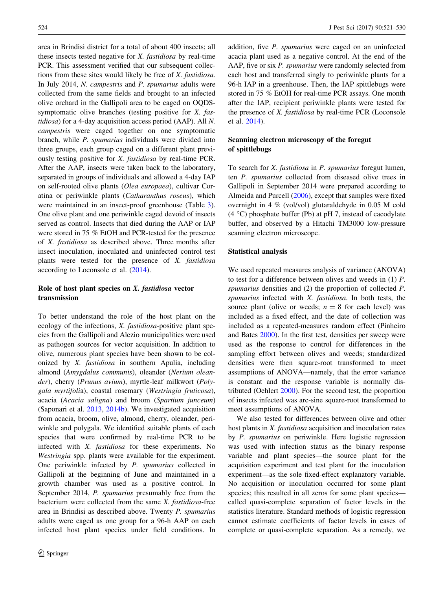area in Brindisi district for a total of about 400 insects; all these insects tested negative for X. fastidiosa by real-time PCR. This assessment verified that our subsequent collections from these sites would likely be free of X. fastidiosa. In July 2014, N. campestris and P. spumarius adults were collected from the same fields and brought to an infected olive orchard in the Gallipoli area to be caged on OQDSsymptomatic olive branches (testing positive for X. fastidiosa) for a 4-day acquisition access period (AAP). All N. campestris were caged together on one symptomatic branch, while P. spumarius individuals were divided into three groups, each group caged on a different plant previously testing positive for X. fastidiosa by real-time PCR. After the AAP, insects were taken back to the laboratory, separated in groups of individuals and allowed a 4-day IAP on self-rooted olive plants (Olea europaea), cultivar Coratina or periwinkle plants (Catharanthus roseus), which were maintained in an insect-proof greenhouse (Table [3](#page-7-0)). One olive plant and one periwinkle caged devoid of insects served as control. Insects that died during the AAP or IAP were stored in 75 % EtOH and PCR-tested for the presence of X. fastidiosa as described above. Three months after insect inoculation, inoculated and uninfected control test plants were tested for the presence of X. fastidiosa according to Loconsole et al. [\(2014\)](#page-9-0).

## Role of host plant species on X. fastidiosa vector transmission

To better understand the role of the host plant on the ecology of the infections, X. fastidiosa-positive plant species from the Gallipoli and Alezio municipalities were used as pathogen sources for vector acquisition. In addition to olive, numerous plant species have been shown to be colonized by X. fastidiosa in southern Apulia, including almond (Amygdalus communis), oleander (Nerium oleander), cherry (Prunus avium), myrtle-leaf milkwort (Polygala myrtifolia), coastal rosemary (Westringia fruticosa), acacia (Acacia saligna) and broom (Spartium junceum) (Saponari et al. [2013,](#page-9-0) [2014b](#page-9-0)). We investigated acquisition from acacia, broom, olive, almond, cherry, oleander, periwinkle and polygala. We identified suitable plants of each species that were confirmed by real-time PCR to be infected with X. fastidiosa for these experiments. No Westringia spp. plants were available for the experiment. One periwinkle infected by P. spumarius collected in Gallipoli at the beginning of June and maintained in a growth chamber was used as a positive control. In September 2014, P. spumarius presumably free from the bacterium were collected from the same X. fastidiosa-free area in Brindisi as described above. Twenty P. spumarius adults were caged as one group for a 96-h AAP on each infected host plant species under field conditions. In addition, five P. spumarius were caged on an uninfected acacia plant used as a negative control. At the end of the AAP, five or six P. spumarius were randomly selected from each host and transferred singly to periwinkle plants for a 96-h IAP in a greenhouse. Then, the IAP spittlebugs were stored in 75 % EtOH for real-time PCR assays. One month after the IAP, recipient periwinkle plants were tested for the presence of X. fastidiosa by real-time PCR (Loconsole et al. [2014\)](#page-9-0).

# Scanning electron microscopy of the foregut of spittlebugs

To search for X. fastidiosa in P. spumarius foregut lumen, ten P. spumarius collected from diseased olive trees in Gallipoli in September 2014 were prepared according to Almeida and Purcell ([2006\)](#page-8-0), except that samples were fixed overnight in 4 % (vol/vol) glutaraldehyde in 0.05 M cold (4  $^{\circ}$ C) phosphate buffer (Pb) at pH 7, instead of cacodylate buffer, and observed by a Hitachi TM3000 low-pressure scanning electron microscope.

## Statistical analysis

We used repeated measures analysis of variance (ANOVA) to test for a difference between olives and weeds in (1) P. spumarius densities and (2) the proportion of collected P. spumarius infected with X. fastidiosa. In both tests, the source plant (olive or weeds;  $n = 8$  for each level) was included as a fixed effect, and the date of collection was included as a repeated-measures random effect (Pinheiro and Bates [2000](#page-9-0)). In the first test, densities per sweep were used as the response to control for differences in the sampling effort between olives and weeds; standardized densities were then square-root transformed to meet assumptions of ANOVA—namely, that the error variance is constant and the response variable is normally distributed (Oehlert [2000](#page-9-0)). For the second test, the proportion of insects infected was arc-sine square-root transformed to meet assumptions of ANOVA.

We also tested for differences between olive and other host plants in X. *fastidiosa* acquisition and inoculation rates by P. spumarius on periwinkle. Here logistic regression was used with infection status as the binary response variable and plant species—the source plant for the acquisition experiment and test plant for the inoculation experiment—as the sole fixed-effect explanatory variable. No acquisition or inoculation occurred for some plant species; this resulted in all zeros for some plant species called quasi-complete separation of factor levels in the statistics literature. Standard methods of logistic regression cannot estimate coefficients of factor levels in cases of complete or quasi-complete separation. As a remedy, we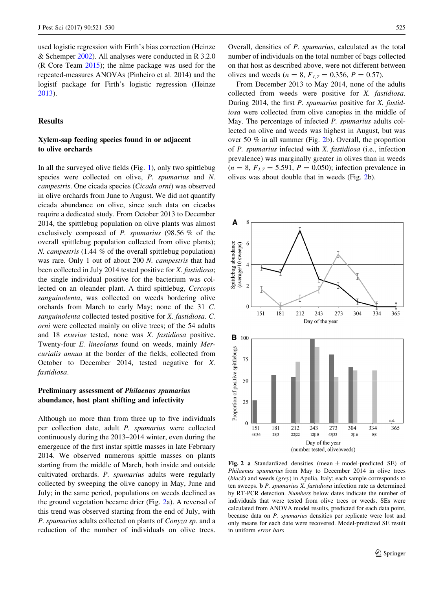used logistic regression with Firth's bias correction (Heinze & Schemper [2002\)](#page-9-0). All analyses were conducted in R 3.2.0 (R Core Team [2015](#page-9-0)); the nlme package was used for the repeated-measures ANOVAs (Pinheiro et al. 2014) and the logistf package for Firth's logistic regression (Heinze [2013\)](#page-9-0).

### **Results**

## Xylem-sap feeding species found in or adjacent to olive orchards

In all the surveyed olive fields (Fig. [1](#page-2-0)), only two spittlebug species were collected on olive, *P. spumarius* and *N.* campestris. One cicada species (Cicada orni) was observed in olive orchards from June to August. We did not quantify cicada abundance on olive, since such data on cicadas require a dedicated study. From October 2013 to December 2014, the spittlebug population on olive plants was almost exclusively composed of P. spumarius (98.56 % of the overall spittlebug population collected from olive plants); N. campestris (1.44 % of the overall spittlebug population) was rare. Only 1 out of about 200 N. campestris that had been collected in July 2014 tested positive for X. fastidiosa; the single individual positive for the bacterium was collected on an oleander plant. A third spittlebug, Cercopis sanguinolenta, was collected on weeds bordering olive orchards from March to early May; none of the 31 C. sanguinolenta collected tested positive for X. fastidiosa. C. orni were collected mainly on olive trees; of the 54 adults and 18 exuviae tested, none was X. fastidiosa positive. Twenty-four E. lineolatus found on weeds, mainly Mercurialis annua at the border of the fields, collected from October to December 2014, tested negative for X. fastidiosa.

# Preliminary assessment of Philaenus spumarius abundance, host plant shifting and infectivity

Although no more than from three up to five individuals per collection date, adult P. spumarius were collected continuously during the 2013–2014 winter, even during the emergence of the first instar spittle masses in late February 2014. We observed numerous spittle masses on plants starting from the middle of March, both inside and outside cultivated orchards. P. spumarius adults were regularly collected by sweeping the olive canopy in May, June and July; in the same period, populations on weeds declined as the ground vegetation became drier (Fig. 2a). A reversal of this trend was observed starting from the end of July, with P. spumarius adults collected on plants of Conyza sp. and a reduction of the number of individuals on olive trees.

Overall, densities of P. spumarius, calculated as the total number of individuals on the total number of bags collected on that host as described above, were not different between olives and weeds ( $n = 8$ ,  $F_{1,7} = 0.356$ ,  $P = 0.57$ ).

From December 2013 to May 2014, none of the adults collected from weeds were positive for X. fastidiosa. During 2014, the first P. spumarius positive for X. fastidiosa were collected from olive canopies in the middle of May. The percentage of infected P. spumarius adults collected on olive and weeds was highest in August, but was over 50 % in all summer (Fig. 2b). Overall, the proportion of P. spumarius infected with X. fastidiosa (i.e., infection prevalence) was marginally greater in olives than in weeds  $(n = 8, F_{1,7} = 5.591, P = 0.050)$ ; infection prevalence in olives was about double that in weeds (Fig. 2b).



Fig. 2 a Standardized densities (mean  $\pm$  model-predicted SE) of Philaenus spumarius from May to December 2014 in olive trees (black) and weeds (grey) in Apulia, Italy; each sample corresponds to ten sweeps. b P. spumarius X. fastidiosa infection rate as determined by RT-PCR detection. Numbers below dates indicate the number of individuals that were tested from olive trees or weeds. SEs were calculated from ANOVA model results, predicted for each data point, because data on P. spumarius densities per replicate were lost and only means for each date were recovered. Model-predicted SE result in uniform error bars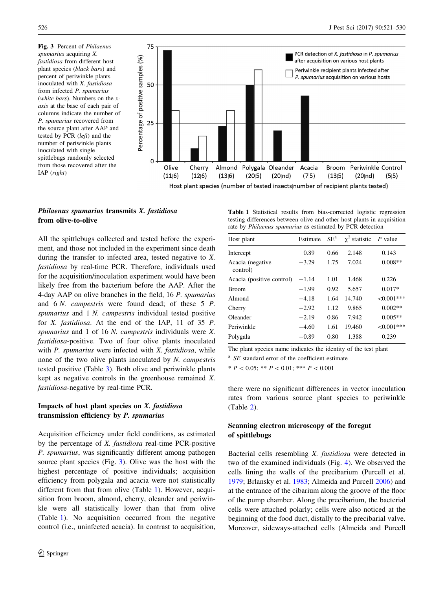Fig. 3 Percent of Philaenus spumarius acquiring X. fastidiosa from different host plant species (black bars) and percent of periwinkle plants inoculated with X. fastidiosa from infected P. spumarius (white bars). Numbers on the xaxis at the base of each pair of columns indicate the number of P. spumarius recovered from the source plant after AAP and tested by PCR (left) and the number of periwinkle plants inoculated with single spittlebugs randomly selected from those recovered after the IAP (right)



## Philaenus spumarius transmits X. fastidiosa from olive-to-olive

All the spittlebugs collected and tested before the experiment, and those not included in the experiment since death during the transfer to infected area, tested negative to X. fastidiosa by real-time PCR. Therefore, individuals used for the acquisition/inoculation experiment would have been likely free from the bacterium before the AAP. After the 4-day AAP on olive branches in the field, 16 P. spumarius and 6 N. campestris were found dead; of these 5 P. spumarius and 1 N. campestris individual tested positive for X. fastidiosa. At the end of the IAP, 11 of 35 P. spumarius and 1 of 16 N. *campestris* individuals were X. fastidiosa-positive. Two of four olive plants inoculated with P. spumarius were infected with X. fastidiosa, while none of the two olive plants inoculated by N. campestris tested positive (Table [3\)](#page-7-0). Both olive and periwinkle plants kept as negative controls in the greenhouse remained X. fastidiosa-negative by real-time PCR.

## Impacts of host plant species on X. fastidiosa transmission efficiency by P. spumarius

Acquisition efficiency under field conditions, as estimated by the percentage of X. fastidiosa real-time PCR-positive P. spumarius, was significantly different among pathogen source plant species (Fig. 3). Olive was the host with the highest percentage of positive individuals; acquisition efficiency from polygala and acacia were not statistically different from that from olive (Table 1). However, acquisition from broom, almond, cherry, oleander and periwinkle were all statistically lower than that from olive (Table 1). No acquisition occurred from the negative control (i.e., uninfected acacia). In contrast to acquisition,

|  |  | Table 1 Statistical results from bias-corrected logistic regression    |  |
|--|--|------------------------------------------------------------------------|--|
|  |  | testing differences between olive and other host plants in acquisition |  |
|  |  | rate by <i>Philaenus spumarius</i> as estimated by PCR detection       |  |

| Host plant                   | Estimate | $SE^a$ | $\chi^2$ statistic P value |             |
|------------------------------|----------|--------|----------------------------|-------------|
| Intercept                    | 0.89     | 0.66   | 2.148                      | 0.143       |
| Acacia (negative<br>control) | $-3.29$  | 1.75   | 7.024                      | $0.008**$   |
| Acacia (positive control)    | $-1.14$  | 1.01   | 1.468                      | 0.226       |
| <b>Broom</b>                 | $-1.99$  | 0.92   | 5.657                      | $0.017*$    |
| Almond                       | $-4.18$  | 1.64   | 14.740                     | $<0.001***$ |
| Cherry                       | $-2.92$  | 1.12   | 9.865                      | $0.002**$   |
| Oleander                     | $-2.19$  | 0.86   | 7.942                      | $0.005**$   |
| Periwinkle                   | $-4.60$  | 1.61   | 19.460                     | $<0.001***$ |
| Polygala                     | $-0.89$  | 0.80   | 1.388                      | 0.239       |
|                              |          |        |                            |             |

The plant species name indicates the identity of the test plant

<sup>a</sup> SE standard error of the coefficient estimate

\*  $P < 0.05$ ; \*\*  $P < 0.01$ ; \*\*\*  $P < 0.001$ 

there were no significant differences in vector inoculation rates from various source plant species to periwinkle (Table [2\)](#page-6-0).

## Scanning electron microscopy of the foregut of spittlebugs

Bacterial cells resembling X. fastidiosa were detected in two of the examined individuals (Fig. [4](#page-6-0)). We observed the cells lining the walls of the precibarium (Purcell et al. [1979](#page-9-0); Brlansky et al. [1983;](#page-8-0) Almeida and Purcell [2006\)](#page-8-0) and at the entrance of the cibarium along the groove of the floor of the pump chamber. Along the precibarium, the bacterial cells were attached polarly; cells were also noticed at the beginning of the food duct, distally to the precibarial valve. Moreover, sideways-attached cells (Almeida and Purcell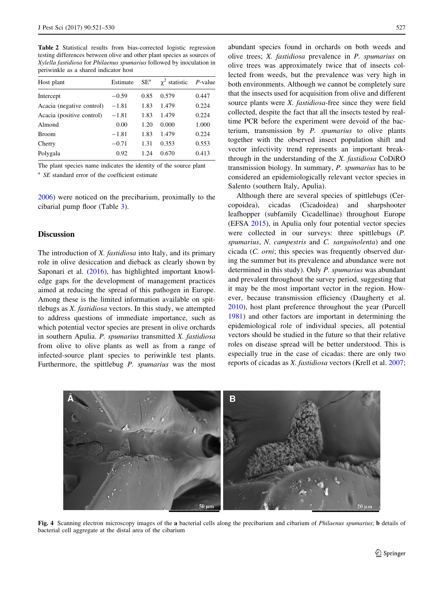<span id="page-6-0"></span>Table 2 Statistical results from bias-corrected logistic regression testing differences between olive and other plant species as sources of Xylella fastidiosa for Philaenus spumarius followed by inoculation in periwinkle as a shared indicator host

| Host plant                | Estimate | $SE^a$ | $\chi^2$ statistic | P-value |  |
|---------------------------|----------|--------|--------------------|---------|--|
| Intercept                 | $-0.59$  | 0.85   | 0.579              | 0.447   |  |
| Acacia (negative control) | $-1.81$  | 1.83   | 1.479              | 0.224   |  |
| Acacia (positive control) | $-1.81$  | 1.83   | 1.479              | 0.224   |  |
| Almond                    | 0.00     | 1.20   | 0.000              | 1.000   |  |
| <b>Broom</b>              | $-1.81$  | 1.83   | 1.479              | 0.224   |  |
| Cherry                    | $-0.71$  | 1.31   | 0.353              | 0.553   |  |
| Polygala                  | 0.92     | 1.24   | 0.670              | 0.413   |  |
|                           |          |        |                    |         |  |

The plant species name indicates the identity of the source plant

 $A$  SE standard error of the coefficient estimate

[2006\)](#page-8-0) were noticed on the precibarium, proximally to the cibarial pump floor (Table [3](#page-7-0)).

#### **Discussion**

The introduction of X. *fastidiosa* into Italy, and its primary role in olive desiccation and dieback as clearly shown by Saponari et al. ([2016\)](#page-9-0), has highlighted important knowledge gaps for the development of management practices aimed at reducing the spread of this pathogen in Europe. Among these is the limited information available on spittlebugs as X. fastidiosa vectors. In this study, we attempted to address questions of immediate importance, such as which potential vector species are present in olive orchards in southern Apulia. P. spumarius transmitted X. fastidiosa from olive to olive plants as well as from a range of infected-source plant species to periwinkle test plants. Furthermore, the spittlebug P. spumarius was the most abundant species found in orchards on both weeds and olive trees; X. fastidiosa prevalence in P. spumarius on olive trees was approximately twice that of insects collected from weeds, but the prevalence was very high in both environments. Although we cannot be completely sure that the insects used for acquisition from olive and different source plants were X. fastidiosa-free since they were field collected, despite the fact that all the insects tested by realtime PCR before the experiment were devoid of the bacterium, transmission by P. spumarius to olive plants together with the observed insect population shift and vector infectivity trend represents an important breakthrough in the understanding of the X. fastidiosa CoDiRO transmission biology. In summary, P. spumarius has to be considered an epidemiologically relevant vector species in Salento (southern Italy, Apulia).

Although there are several species of spittlebugs (Cercopoidea), cicadas (Cicadoidea) and sharpshooter leafhopper (subfamily Cicadellinae) throughout Europe (EFSA [2015](#page-8-0)), in Apulia only four potential vector species were collected in our surveys: three spittlebugs (P. spumarius, N. campestris and C. sanguinolenta) and one cicada (C. orni; this species was frequently observed during the summer but its prevalence and abundance were not determined in this study). Only P. spumarius was abundant and prevalent throughout the survey period, suggesting that it may be the most important vector in the region. However, because transmission efficiency (Daugherty et al. [2010](#page-8-0)), host plant preference throughout the year (Purcell [1981](#page-9-0)) and other factors are important in determining the epidemiological role of individual species, all potential vectors should be studied in the future so that their relative roles on disease spread will be better understood. This is especially true in the case of cicadas: there are only two reports of cicadas as X. fastidiosa vectors (Krell et al. [2007](#page-9-0);



Fig. 4 Scanning electron microscopy images of the a bacterial cells along the precibarium and cibarium of *Philaenus spumarius*; **b** details of bacterial cell aggregate at the distal area of the cibarium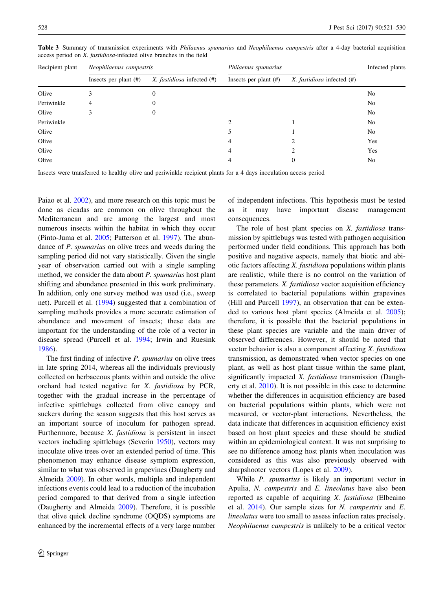| Recipient plant | Neophilaenus campestris  |                            | Philaenus spumarius      |                            | Infected plants |
|-----------------|--------------------------|----------------------------|--------------------------|----------------------------|-----------------|
|                 | Insects per plant $(\#)$ | X. fastidiosa infected (#) | Insects per plant $(\#)$ | X. fastidiosa infected (#) |                 |
| Olive           | 3                        | $\overline{0}$             |                          |                            | No              |
| Periwinkle      | 4                        | $\Omega$                   |                          |                            | No              |
| Olive           | 3                        | $\overline{0}$             |                          |                            | No              |
| Periwinkle      |                          |                            | ↑                        |                            | No              |
| Olive           |                          |                            |                          |                            | No              |
| Olive           |                          |                            | 4                        | 2                          | Yes             |
| Olive           |                          |                            | 4                        | 2                          | Yes             |
| Olive           |                          |                            | 4                        | 0                          | No              |

<span id="page-7-0"></span>Table 3 Summary of transmission experiments with *Philaenus spumarius* and *Neophilaenus campestris* after a 4-day bacterial acquisition access period on X. fastidiosa-infected olive branches in the field

Insects were transferred to healthy olive and periwinkle recipient plants for a 4 days inoculation access period

Paiao et al. [2002\)](#page-9-0), and more research on this topic must be done as cicadas are common on olive throughout the Mediterranean and are among the largest and most numerous insects within the habitat in which they occur (Pinto-Juma et al. [2005](#page-9-0); Patterson et al. [1997](#page-9-0)). The abundance of P. spumarius on olive trees and weeds during the sampling period did not vary statistically. Given the single year of observation carried out with a single sampling method, we consider the data about P. spumarius host plant shifting and abundance presented in this work preliminary. In addition, only one survey method was used (i.e., sweep net). Purcell et al. [\(1994](#page-9-0)) suggested that a combination of sampling methods provides a more accurate estimation of abundance and movement of insects; these data are important for the understanding of the role of a vector in disease spread (Purcell et al. [1994](#page-9-0); Irwin and Ruesink [1986\)](#page-9-0).

The first finding of infective *P. spumarius* on olive trees in late spring 2014, whereas all the individuals previously collected on herbaceous plants within and outside the olive orchard had tested negative for X. fastidiosa by PCR, together with the gradual increase in the percentage of infective spittlebugs collected from olive canopy and suckers during the season suggests that this host serves as an important source of inoculum for pathogen spread. Furthermore, because X. fastidiosa is persistent in insect vectors including spittlebugs (Severin [1950\)](#page-9-0), vectors may inoculate olive trees over an extended period of time. This phenomenon may enhance disease symptom expression, similar to what was observed in grapevines (Daugherty and Almeida [2009](#page-8-0)). In other words, multiple and independent infections events could lead to a reduction of the incubation period compared to that derived from a single infection (Daugherty and Almeida [2009\)](#page-8-0). Therefore, it is possible that olive quick decline syndrome (OQDS) symptoms are enhanced by the incremental effects of a very large number of independent infections. This hypothesis must be tested as it may have important disease management consequences.

The role of host plant species on X. *fastidiosa* transmission by spittlebugs was tested with pathogen acquisition performed under field conditions. This approach has both positive and negative aspects, namely that biotic and abiotic factors affecting X. fastidiosa populations within plants are realistic, while there is no control on the variation of these parameters. X. fastidiosa vector acquisition efficiency is correlated to bacterial populations within grapevines (Hill and Purcell [1997](#page-9-0)), an observation that can be extended to various host plant species (Almeida et al. [2005](#page-8-0)); therefore, it is possible that the bacterial populations in these plant species are variable and the main driver of observed differences. However, it should be noted that vector behavior is also a component affecting X. fastidiosa transmission, as demonstrated when vector species on one plant, as well as host plant tissue within the same plant, significantly impacted X. *fastidiosa* transmission (Daugherty et al. [2010](#page-8-0)). It is not possible in this case to determine whether the differences in acquisition efficiency are based on bacterial populations within plants, which were not measured, or vector-plant interactions. Nevertheless, the data indicate that differences in acquisition efficiency exist based on host plant species and these should be studied within an epidemiological context. It was not surprising to see no difference among host plants when inoculation was considered as this was also previously observed with sharpshooter vectors (Lopes et al. [2009](#page-9-0)).

While P. spumarius is likely an important vector in Apulia, N. campestris and E. lineolatus have also been reported as capable of acquiring X. fastidiosa (Elbeaino et al. [2014](#page-9-0)). Our sample sizes for N. campestris and E. lineolatus were too small to assess infection rates precisely. Neophilaenus campestris is unlikely to be a critical vector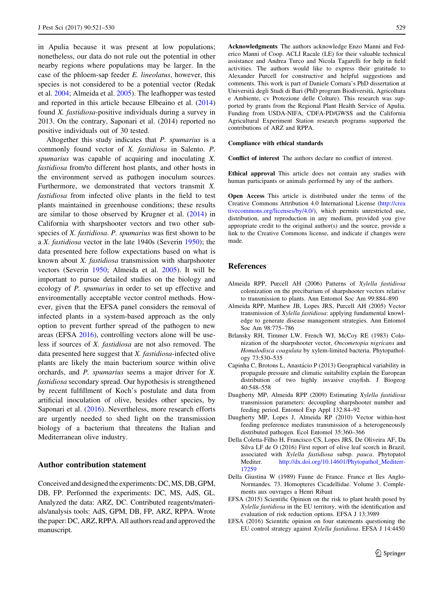<span id="page-8-0"></span>in Apulia because it was present at low populations; nonetheless, our data do not rule out the potential in other nearby regions where populations may be larger. In the case of the phloem-sap feeder E. lineolatus, however, this species is not considered to be a potential vector (Redak et al. [2004;](#page-9-0) Almeida et al. 2005). The leafhopper was tested and reported in this article because Elbeaino et al. ([2014\)](#page-9-0) found X. *fastidiosa*-positive individuals during a survey in 2013. On the contrary, Saponari et al. (2014) reported no positive individuals out of 30 tested.

Altogether this study indicates that P. spumarius is a commonly found vector of X. fastidiosa in Salento. P. spumarius was capable of acquiring and inoculating X. fastidiosa from/to different host plants, and other hosts in the environment served as pathogen inoculum sources. Furthermore, we demonstrated that vectors transmit X. fastidiosa from infected olive plants in the field to test plants maintained in greenhouse conditions; these results are similar to those observed by Krugner et al.  $(2014)$  $(2014)$  in California with sharpshooter vectors and two other subspecies of X. *fastidiosa*. P. *spumarius* was first shown to be a X. fastidiosa vector in the late 1940s (Severin [1950\)](#page-9-0); the data presented here follow expectations based on what is known about X. fastidiosa transmission with sharpshooter vectors (Severin [1950;](#page-9-0) Almeida et al. 2005). It will be important to pursue detailed studies on the biology and ecology of P. spumarius in order to set up effective and environmentally acceptable vector control methods. However, given that the EFSA panel considers the removal of infected plants in a system-based approach as the only option to prevent further spread of the pathogen to new areas (EFSA 2016), controlling vectors alone will be useless if sources of X. fastidiosa are not also removed. The data presented here suggest that X. fastidiosa-infected olive plants are likely the main bacterium source within olive orchards, and P. spumarius seems a major driver for X. fastidiosa secondary spread. Our hypothesis is strengthened by recent fulfillment of Koch's postulate and data from artificial inoculation of olive, besides other species, by Saponari et al. [\(2016](#page-9-0)). Nevertheless, more research efforts are urgently needed to shed light on the transmission biology of a bacterium that threatens the Italian and Mediterranean olive industry.

## Author contribution statement

Conceived and designed the experiments: DC, MS, DB, GPM, DB, FP. Performed the experiments: DC, MS, AdS, GL. Analyzed the data: ARZ, DC. Contributed reagents/materials/analysis tools: AdS, GPM, DB, FP, ARZ, RPPA. Wrote the paper: DC, ARZ, RPPA. All authors read and approved the manuscript.

Acknowledgments The authors acknowledge Enzo Manni and Federico Manni of Coop. ACLI Racale (LE) for their valuable technical assistance and Andrea Turco and Nicola Tagarelli for help in field activities. The authors would like to express their gratitude to Alexander Purcell for constructive and helpful suggestions and comments. This work is part of Daniele Cornara's PhD dissertation at Universita` degli Studi di Bari (PhD program Biodiversita`, Agricoltura e Ambiente, cv Protezione delle Colture). This research was supported by grants from the Regional Plant Health Service of Apulia. Funding from USDA-NIFA, CDFA-PD/GWSS and the California Agricultural Experiment Station research programs supported the contributions of ARZ and RPPA.

#### Compliance with ethical standards

Conflict of interest The authors declare no conflict of interest.

Ethical approval This article does not contain any studies with human participants or animals performed by any of the authors.

Open Access This article is distributed under the terms of the Creative Commons Attribution 4.0 International License ([http://crea](http://creativecommons.org/licenses/by/4.0/) [tivecommons.org/licenses/by/4.0/\)](http://creativecommons.org/licenses/by/4.0/), which permits unrestricted use, distribution, and reproduction in any medium, provided you give appropriate credit to the original author(s) and the source, provide a link to the Creative Commons license, and indicate if changes were made.

#### References

- Almeida RPP, Purcell AH (2006) Patterns of Xylella fastidiosa colonization on the precibarium of sharpshooter vectors relative to transmission to plants. Ann Entomol Soc Am 99:884–890
- Almeida RPP, Matthew JB, Lopes JRS, Purcell AH (2005) Vector transmission of Xylella fastidiosa: applying fundamental knowledge to generate disease management strategies. Ann Entomol Soc Am 98:775–786
- Brlansky RH, Timmer LW, French WJ, McCoy RE (1983) Colonization of the sharpshooter vector, Oncometopia nigricans and Homalodisca coagulata by xylem-limited bacteria. Phytopathology 73:530–535
- Capinha C, Brotons L, Anastácio P (2013) Geographical variability in propagule pressure and climatic suitability explain the European distribution of two highly invasive crayfish. J Biogeog 40:548–558
- Daugherty MP, Almeida RPP (2009) Estimating Xylella fastidiosa transmission parameters: decoupling sharpshooter number and feeding period. Entomol Exp Appl 132:84–92
- Daugherty MP, Lopes J, Almeida RP (2010) Vector within-host feeding preference mediates transmission of a heterogeneously distributed pathogen. Ecol Entomol 35:360–366
- Della Coletta-Filho H, Francisco CS, Lopes JRS, De Oliveira AF, Da Silva LF de O (2016) First report of olive leaf scorch in Brazil, associated with Xylella fastidiosa subsp. pauca. Phytopatol Mediter. [http://dx.doi.org/10.14601/Phytopathol\\_Mediterr-](http://dx.doi.org/10.14601/Phytopathol_Mediterr-17259)[17259](http://dx.doi.org/10.14601/Phytopathol_Mediterr-17259)
- Della Giustina W (1989) Faune de France. France et Iles Anglo-Normandes. 73. Homopteres Cicadellidae. Volume 3. Complements aux ouvrages a Henri Ribaut
- EFSA (2015) Scientific Opinion on the risk to plant health posed by Xylella fastidiosa in the EU territory, with the identification and evaluation of risk reduction options. EFSA J 13:3989
- EFSA (2016) Scientific opinion on four statements questioning the EU control strategy against Xylella fastidiosa. EFSA J 14:4450